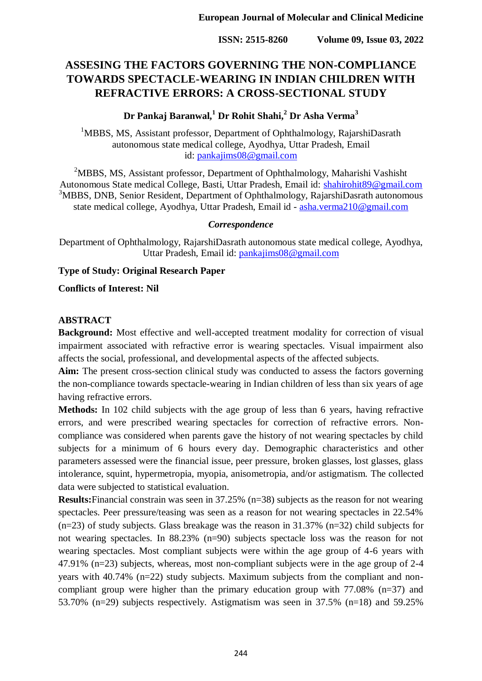# **ASSESING THE FACTORS GOVERNING THE NON-COMPLIANCE TOWARDS SPECTACLE-WEARING IN INDIAN CHILDREN WITH REFRACTIVE ERRORS: A CROSS-SECTIONAL STUDY**

## **Dr Pankaj Baranwal,<sup>1</sup> Dr Rohit Shahi,<sup>2</sup> Dr Asha Verma<sup>3</sup>**

<sup>1</sup>MBBS, MS, Assistant professor, Department of Ophthalmology, RajarshiDasrath autonomous state medical college, Ayodhya, Uttar Pradesh, Email id: [pankajims08@gmail.com](mailto:pankajims08@gmail.com)

<sup>2</sup>MBBS, MS, Assistant professor, Department of Ophthalmology, Maharishi Vashisht Autonomous State medical College, Basti, Uttar Pradesh, Email id: [shahirohit89@gmail.com](mailto:shahirohit89@gmail.com) <sup>3</sup>MBBS, DNB, Senior Resident, Department of Ophthalmology, RajarshiDasrath autonomous state medical college, Ayodhya, Uttar Pradesh, Email id - [asha.verma210@gmail.com](mailto:asha.verma210@gmail.com)

#### *Correspondence*

Department of Ophthalmology, RajarshiDasrath autonomous state medical college, Ayodhya, Uttar Pradesh, Email id: [pankajims08@gmail.com](mailto:pankajims08@gmail.com)

## **Type of Study: Original Research Paper**

**Conflicts of Interest: Nil**

## **ABSTRACT**

**Background:** Most effective and well-accepted treatment modality for correction of visual impairment associated with refractive error is wearing spectacles. Visual impairment also affects the social, professional, and developmental aspects of the affected subjects.

Aim: The present cross-section clinical study was conducted to assess the factors governing the non-compliance towards spectacle-wearing in Indian children of less than six years of age having refractive errors.

**Methods:** In 102 child subjects with the age group of less than 6 years, having refractive errors, and were prescribed wearing spectacles for correction of refractive errors. Noncompliance was considered when parents gave the history of not wearing spectacles by child subjects for a minimum of 6 hours every day. Demographic characteristics and other parameters assessed were the financial issue, peer pressure, broken glasses, lost glasses, glass intolerance, squint, hypermetropia, myopia, anisometropia, and/or astigmatism. The collected data were subjected to statistical evaluation.

**Results:**Financial constrain was seen in 37.25% (n=38) subjects as the reason for not wearing spectacles. Peer pressure/teasing was seen as a reason for not wearing spectacles in 22.54% (n=23) of study subjects. Glass breakage was the reason in 31.37% (n=32) child subjects for not wearing spectacles. In 88.23% (n=90) subjects spectacle loss was the reason for not wearing spectacles. Most compliant subjects were within the age group of 4-6 years with 47.91% (n=23) subjects, whereas, most non-compliant subjects were in the age group of 2-4 years with 40.74% (n=22) study subjects. Maximum subjects from the compliant and noncompliant group were higher than the primary education group with  $77.08\%$  (n=37) and 53.70% (n=29) subjects respectively. Astigmatism was seen in 37.5% (n=18) and 59.25%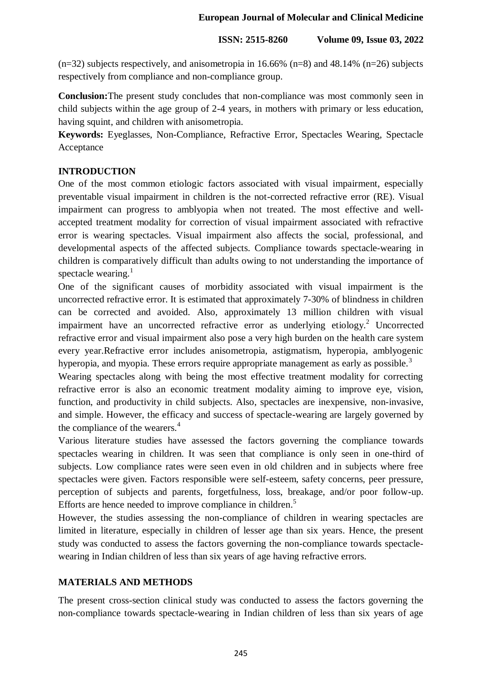$(n=32)$  subjects respectively, and anisometropia in 16.66% (n=8) and 48.14% (n=26) subjects respectively from compliance and non-compliance group.

**Conclusion:**The present study concludes that non-compliance was most commonly seen in child subjects within the age group of 2-4 years, in mothers with primary or less education, having squint, and children with anisometropia.

**Keywords:** Eyeglasses, Non-Compliance, Refractive Error, Spectacles Wearing, Spectacle Acceptance

## **INTRODUCTION**

One of the most common etiologic factors associated with visual impairment, especially preventable visual impairment in children is the not-corrected refractive error (RE). Visual impairment can progress to amblyopia when not treated. The most effective and wellaccepted treatment modality for correction of visual impairment associated with refractive error is wearing spectacles. Visual impairment also affects the social, professional, and developmental aspects of the affected subjects. Compliance towards spectacle-wearing in children is comparatively difficult than adults owing to not understanding the importance of spectacle wearing. $<sup>1</sup>$ </sup>

One of the significant causes of morbidity associated with visual impairment is the uncorrected refractive error. It is estimated that approximately 7-30% of blindness in children can be corrected and avoided. Also, approximately 13 million children with visual impairment have an uncorrected refractive error as underlying etiology.<sup>2</sup> Uncorrected refractive error and visual impairment also pose a very high burden on the health care system every year.Refractive error includes anisometropia, astigmatism, hyperopia, amblyogenic hyperopia, and myopia. These errors require appropriate management as early as possible.<sup>3</sup>

Wearing spectacles along with being the most effective treatment modality for correcting refractive error is also an economic treatment modality aiming to improve eye, vision, function, and productivity in child subjects. Also, spectacles are inexpensive, non-invasive, and simple. However, the efficacy and success of spectacle-wearing are largely governed by the compliance of the wearers.<sup>4</sup>

Various literature studies have assessed the factors governing the compliance towards spectacles wearing in children. It was seen that compliance is only seen in one-third of subjects. Low compliance rates were seen even in old children and in subjects where free spectacles were given. Factors responsible were self-esteem, safety concerns, peer pressure, perception of subjects and parents, forgetfulness, loss, breakage, and/or poor follow-up. Efforts are hence needed to improve compliance in children.<sup>5</sup>

However, the studies assessing the non-compliance of children in wearing spectacles are limited in literature, especially in children of lesser age than six years. Hence, the present study was conducted to assess the factors governing the non-compliance towards spectaclewearing in Indian children of less than six years of age having refractive errors.

# **MATERIALS AND METHODS**

The present cross-section clinical study was conducted to assess the factors governing the non-compliance towards spectacle-wearing in Indian children of less than six years of age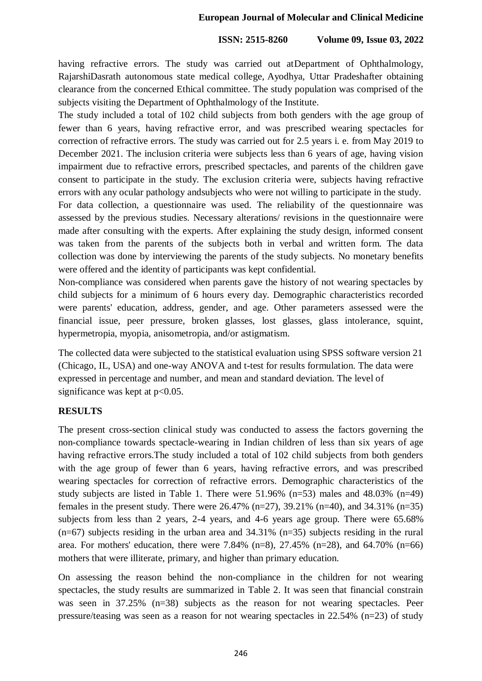having refractive errors. The study was carried out atDepartment of Ophthalmology, RajarshiDasrath autonomous state medical college, Ayodhya, Uttar Pradeshafter obtaining clearance from the concerned Ethical committee. The study population was comprised of the subjects visiting the Department of Ophthalmology of the Institute.

The study included a total of 102 child subjects from both genders with the age group of fewer than 6 years, having refractive error, and was prescribed wearing spectacles for correction of refractive errors. The study was carried out for 2.5 years i. e. from May 2019 to December 2021. The inclusion criteria were subjects less than 6 years of age, having vision impairment due to refractive errors, prescribed spectacles, and parents of the children gave consent to participate in the study. The exclusion criteria were, subjects having refractive errors with any ocular pathology andsubjects who were not willing to participate in the study.

For data collection, a questionnaire was used. The reliability of the questionnaire was assessed by the previous studies. Necessary alterations/ revisions in the questionnaire were made after consulting with the experts. After explaining the study design, informed consent was taken from the parents of the subjects both in verbal and written form. The data collection was done by interviewing the parents of the study subjects. No monetary benefits were offered and the identity of participants was kept confidential.

Non-compliance was considered when parents gave the history of not wearing spectacles by child subjects for a minimum of 6 hours every day. Demographic characteristics recorded were parents' education, address, gender, and age. Other parameters assessed were the financial issue, peer pressure, broken glasses, lost glasses, glass intolerance, squint, hypermetropia, myopia, anisometropia, and/or astigmatism.

The collected data were subjected to the statistical evaluation using SPSS software version 21 (Chicago, IL, USA) and one-way ANOVA and t-test for results formulation. The data were expressed in percentage and number, and mean and standard deviation. The level of significance was kept at  $p<0.05$ .

## **RESULTS**

The present cross-section clinical study was conducted to assess the factors governing the non-compliance towards spectacle-wearing in Indian children of less than six years of age having refractive errors.The study included a total of 102 child subjects from both genders with the age group of fewer than 6 years, having refractive errors, and was prescribed wearing spectacles for correction of refractive errors. Demographic characteristics of the study subjects are listed in Table 1. There were  $51.96\%$  (n=53) males and  $48.03\%$  (n=49) females in the present study. There were  $26.47\%$  (n=27), 39.21% (n=40), and 34.31% (n=35) subjects from less than 2 years, 2-4 years, and 4-6 years age group. There were 65.68% (n=67) subjects residing in the urban area and 34.31% (n=35) subjects residing in the rural area. For mothers' education, there were 7.84%  $(n=8)$ , 27.45%  $(n=28)$ , and 64.70%  $(n=66)$ mothers that were illiterate, primary, and higher than primary education.

On assessing the reason behind the non-compliance in the children for not wearing spectacles, the study results are summarized in Table 2. It was seen that financial constrain was seen in 37.25% (n=38) subjects as the reason for not wearing spectacles. Peer pressure/teasing was seen as a reason for not wearing spectacles in 22.54% (n=23) of study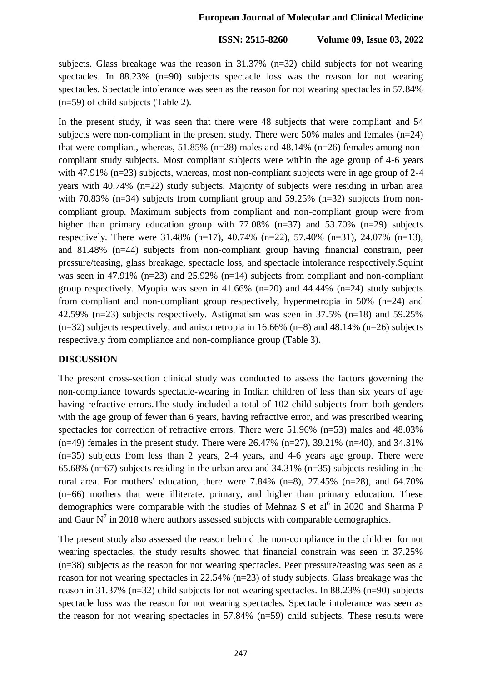subjects. Glass breakage was the reason in 31.37% (n=32) child subjects for not wearing spectacles. In 88.23% (n=90) subjects spectacle loss was the reason for not wearing spectacles. Spectacle intolerance was seen as the reason for not wearing spectacles in 57.84% (n=59) of child subjects (Table 2).

In the present study, it was seen that there were 48 subjects that were compliant and 54 subjects were non-compliant in the present study. There were  $50\%$  males and females (n=24) that were compliant, whereas,  $51.85\%$  (n=28) males and 48.14% (n=26) females among noncompliant study subjects. Most compliant subjects were within the age group of 4-6 years with 47.91% (n=23) subjects, whereas, most non-compliant subjects were in age group of 2-4 years with 40.74% (n=22) study subjects. Majority of subjects were residing in urban area with 70.83% (n=34) subjects from compliant group and 59.25% (n=32) subjects from noncompliant group. Maximum subjects from compliant and non-compliant group were from higher than primary education group with 77.08% (n=37) and 53.70% (n=29) subjects respectively. There were  $31.48\%$  (n=17),  $40.74\%$  (n=22),  $57.40\%$  (n=31),  $24.07\%$  (n=13), and 81.48% (n=44) subjects from non-compliant group having financial constrain, peer pressure/teasing, glass breakage, spectacle loss, and spectacle intolerance respectively.Squint was seen in 47.91% (n=23) and 25.92% (n=14) subjects from compliant and non-compliant group respectively. Myopia was seen in  $41.66\%$  (n=20) and  $44.44\%$  (n=24) study subjects from compliant and non-compliant group respectively, hypermetropia in 50% (n=24) and 42.59% (n=23) subjects respectively. Astigmatism was seen in 37.5% (n=18) and 59.25%  $(n=32)$  subjects respectively, and anisometropia in 16.66% (n=8) and 48.14% (n=26) subjects respectively from compliance and non-compliance group (Table 3).

#### **DISCUSSION**

The present cross-section clinical study was conducted to assess the factors governing the non-compliance towards spectacle-wearing in Indian children of less than six years of age having refractive errors.The study included a total of 102 child subjects from both genders with the age group of fewer than 6 years, having refractive error, and was prescribed wearing spectacles for correction of refractive errors. There were 51.96% (n=53) males and 48.03%  $(n=49)$  females in the present study. There were 26.47%  $(n=27)$ , 39.21%  $(n=40)$ , and 34.31% (n=35) subjects from less than 2 years, 2-4 years, and 4-6 years age group. There were 65.68% (n=67) subjects residing in the urban area and 34.31% (n=35) subjects residing in the rural area. For mothers' education, there were  $7.84\%$  (n=8),  $27.45\%$  (n=28), and 64.70% (n=66) mothers that were illiterate, primary, and higher than primary education. These demographics were comparable with the studies of Mehnaz S et al<sup>6</sup> in 2020 and Sharma P and Gaur  $N^7$  in 2018 where authors assessed subjects with comparable demographics.

The present study also assessed the reason behind the non-compliance in the children for not wearing spectacles, the study results showed that financial constrain was seen in 37.25% (n=38) subjects as the reason for not wearing spectacles. Peer pressure/teasing was seen as a reason for not wearing spectacles in 22.54% (n=23) of study subjects. Glass breakage was the reason in 31.37% (n=32) child subjects for not wearing spectacles. In 88.23% (n=90) subjects spectacle loss was the reason for not wearing spectacles. Spectacle intolerance was seen as the reason for not wearing spectacles in 57.84% (n=59) child subjects. These results were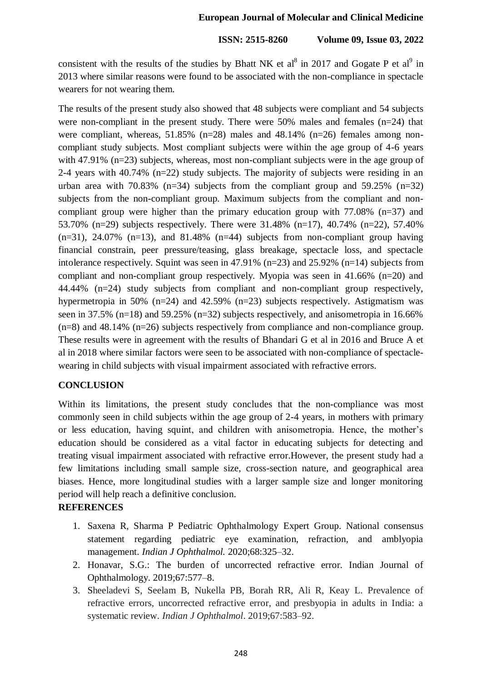consistent with the results of the studies by Bhatt NK et al<sup>8</sup> in 2017 and Gogate P et al<sup>9</sup> in 2013 where similar reasons were found to be associated with the non-compliance in spectacle wearers for not wearing them.

The results of the present study also showed that 48 subjects were compliant and 54 subjects were non-compliant in the present study. There were 50% males and females (n=24) that were compliant, whereas, 51.85% (n=28) males and 48.14% (n=26) females among noncompliant study subjects. Most compliant subjects were within the age group of 4-6 years with 47.91% (n=23) subjects, whereas, most non-compliant subjects were in the age group of 2-4 years with 40.74% (n=22) study subjects. The majority of subjects were residing in an urban area with 70.83%  $(n=34)$  subjects from the compliant group and 59.25%  $(n=32)$ subjects from the non-compliant group. Maximum subjects from the compliant and noncompliant group were higher than the primary education group with  $77.08\%$  (n=37) and 53.70% (n=29) subjects respectively. There were 31.48% (n=17), 40.74% (n=22), 57.40%  $(n=31)$ , 24.07%  $(n=13)$ , and 81.48%  $(n=44)$  subjects from non-compliant group having financial constrain, peer pressure/teasing, glass breakage, spectacle loss, and spectacle intolerance respectively. Squint was seen in 47.91% (n=23) and 25.92% (n=14) subjects from compliant and non-compliant group respectively. Myopia was seen in 41.66% (n=20) and 44.44% (n=24) study subjects from compliant and non-compliant group respectively, hypermetropia in 50% (n=24) and 42.59% (n=23) subjects respectively. Astigmatism was seen in 37.5% (n=18) and 59.25% (n=32) subjects respectively, and anisometropia in 16.66% (n=8) and 48.14% (n=26) subjects respectively from compliance and non-compliance group. These results were in agreement with the results of Bhandari G et al in 2016 and Bruce A et al in 2018 where similar factors were seen to be associated with non-compliance of spectaclewearing in child subjects with visual impairment associated with refractive errors.

## **CONCLUSION**

Within its limitations, the present study concludes that the non-compliance was most commonly seen in child subjects within the age group of 2-4 years, in mothers with primary or less education, having squint, and children with anisometropia. Hence, the mother's education should be considered as a vital factor in educating subjects for detecting and treating visual impairment associated with refractive error.However, the present study had a few limitations including small sample size, cross-section nature, and geographical area biases. Hence, more longitudinal studies with a larger sample size and longer monitoring period will help reach a definitive conclusion.

## **REFERENCES**

- 1. Saxena R, Sharma P Pediatric Ophthalmology Expert Group. National consensus statement regarding pediatric eye examination, refraction, and amblyopia management. *Indian J Ophthalmol.* 2020;68:325–32.
- 2. Honavar, S.G.: The burden of uncorrected refractive error. Indian Journal of Ophthalmology. 2019;67:577–8.
- 3. Sheeladevi S, Seelam B, Nukella PB, Borah RR, Ali R, Keay L. Prevalence of refractive errors, uncorrected refractive error, and presbyopia in adults in India: a systematic review. *Indian J Ophthalmol*. 2019;67:583–92.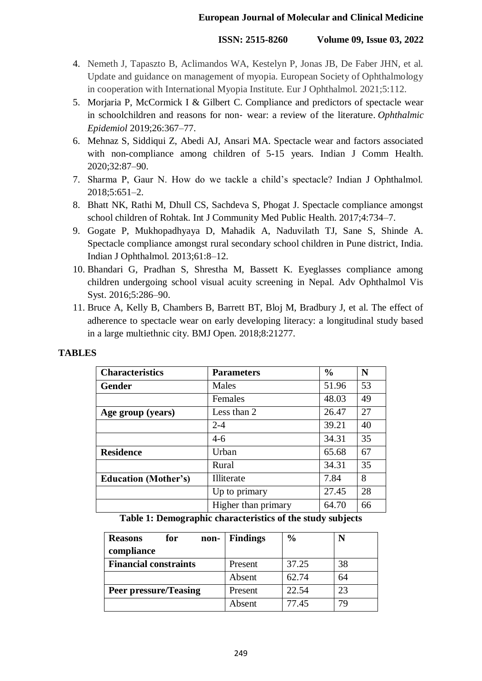- 4. Nemeth J, Tapaszto B, Aclimandos WA, Kestelyn P, Jonas JB, De Faber JHN, et al. Update and guidance on management of myopia. European Society of Ophthalmology in cooperation with International Myopia Institute. Eur J Ophthalmol. 2021;5:112.
- 5. Morjaria P, McCormick I & Gilbert C. Compliance and predictors of spectacle wear in schoolchildren and reasons for non‐ wear: a review of the literature. *Ophthalmic Epidemiol* 2019;26:367–77.
- 6. Mehnaz S, Siddiqui Z, Abedi AJ, Ansari MA. Spectacle wear and factors associated with non-compliance among children of 5-15 years. Indian J Comm Health. 2020;32:87–90.
- 7. Sharma P, Gaur N. How do we tackle a child's spectacle? Indian J Ophthalmol. 2018;5:651–2.
- 8. Bhatt NK, Rathi M, Dhull CS, Sachdeva S, Phogat J. Spectacle compliance amongst school children of Rohtak. Int J Community Med Public Health. 2017;4:734–7.
- 9. Gogate P, Mukhopadhyaya D, Mahadik A, Naduvilath TJ, Sane S, Shinde A. Spectacle compliance amongst rural secondary school children in Pune district, India. Indian J Ophthalmol. 2013;61:8–12.
- 10. Bhandari G, Pradhan S, Shrestha M, Bassett K. Eyeglasses compliance among children undergoing school visual acuity screening in Nepal. Adv Ophthalmol Vis Syst. 2016;5:286–90.
- 11. Bruce A, Kelly B, Chambers B, Barrett BT, Bloj M, Bradbury J, et al. The effect of adherence to spectacle wear on early developing literacy: a longitudinal study based in a large multiethnic city. BMJ Open. 2018;8:21277.

| <b>Characteristics</b>      | <b>Parameters</b>   | $\frac{0}{0}$ | N  |
|-----------------------------|---------------------|---------------|----|
| <b>Gender</b>               | Males               | 51.96         | 53 |
|                             | Females             | 48.03         | 49 |
| Age group (years)           | Less than 2         | 26.47         | 27 |
|                             | $2 - 4$             | 39.21         | 40 |
|                             | $4 - 6$             | 34.31         | 35 |
| <b>Residence</b>            | Urban               | 65.68         | 67 |
|                             | Rural               | 34.31         | 35 |
| <b>Education (Mother's)</b> | Illiterate          | 7.84          | 8  |
|                             | Up to primary       | 27.45         | 28 |
|                             | Higher than primary | 64.70         | 66 |

# **TABLES**

**Table 1: Demographic characteristics of the study subjects**

| for<br><b>Reasons</b><br>non- | <b>Findings</b> | $\frac{0}{0}$ |    |
|-------------------------------|-----------------|---------------|----|
| compliance                    |                 |               |    |
| <b>Financial constraints</b>  | Present         | 37.25         | 38 |
|                               | Absent          | 62.74         | 64 |
| <b>Peer pressure/Teasing</b>  | Present         | 22.54         | 23 |
|                               | Absent          | 77.45         |    |